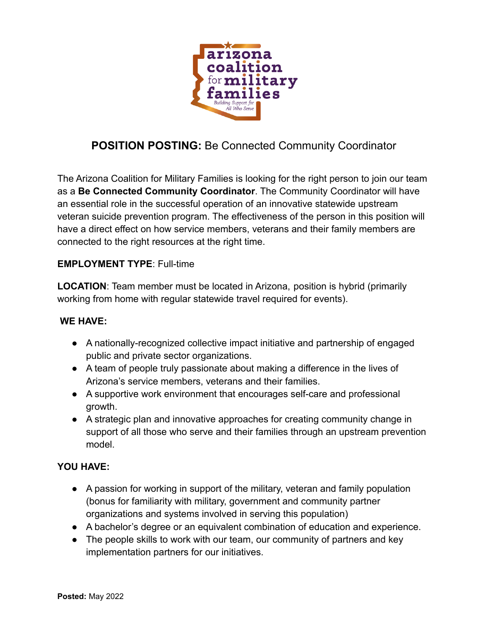

# **POSITION POSTING:** Be Connected Community Coordinator

The Arizona Coalition for Military Families is looking for the right person to join our team as a **Be Connected Community Coordinator**. The Community Coordinator will have an essential role in the successful operation of an innovative statewide upstream veteran suicide prevention program. The effectiveness of the person in this position will have a direct effect on how service members, veterans and their family members are connected to the right resources at the right time.

### **EMPLOYMENT TYPE**: Full-time

**LOCATION**: Team member must be located in Arizona, position is hybrid (primarily working from home with regular statewide travel required for events).

#### **WE HAVE:**

- A nationally-recognized collective impact initiative and partnership of engaged public and private sector organizations.
- A team of people truly passionate about making a difference in the lives of Arizona's service members, veterans and their families.
- A supportive work environment that encourages self-care and professional growth.
- A strategic plan and innovative approaches for creating community change in support of all those who serve and their families through an upstream prevention model.

### **YOU HAVE:**

- A passion for working in support of the military, veteran and family population (bonus for familiarity with military, government and community partner organizations and systems involved in serving this population)
- A bachelor's degree or an equivalent combination of education and experience.
- The people skills to work with our team, our community of partners and key implementation partners for our initiatives.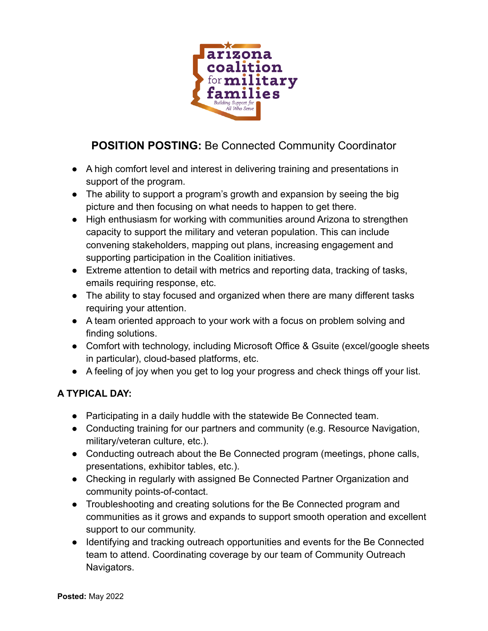

# **POSITION POSTING:** Be Connected Community Coordinator

- A high comfort level and interest in delivering training and presentations in support of the program.
- The ability to support a program's growth and expansion by seeing the big picture and then focusing on what needs to happen to get there.
- High enthusiasm for working with communities around Arizona to strengthen capacity to support the military and veteran population. This can include convening stakeholders, mapping out plans, increasing engagement and supporting participation in the Coalition initiatives.
- Extreme attention to detail with metrics and reporting data, tracking of tasks, emails requiring response, etc.
- The ability to stay focused and organized when there are many different tasks requiring your attention.
- A team oriented approach to your work with a focus on problem solving and finding solutions.
- Comfort with technology, including Microsoft Office & Gsuite (excel/google sheets in particular), cloud-based platforms, etc.
- A feeling of joy when you get to log your progress and check things off your list.

## **A TYPICAL DAY:**

- Participating in a daily huddle with the statewide Be Connected team.
- Conducting training for our partners and community (e.g. Resource Navigation, military/veteran culture, etc.).
- Conducting outreach about the Be Connected program (meetings, phone calls, presentations, exhibitor tables, etc.).
- Checking in regularly with assigned Be Connected Partner Organization and community points-of-contact.
- Troubleshooting and creating solutions for the Be Connected program and communities as it grows and expands to support smooth operation and excellent support to our community.
- Identifying and tracking outreach opportunities and events for the Be Connected team to attend. Coordinating coverage by our team of Community Outreach Navigators.